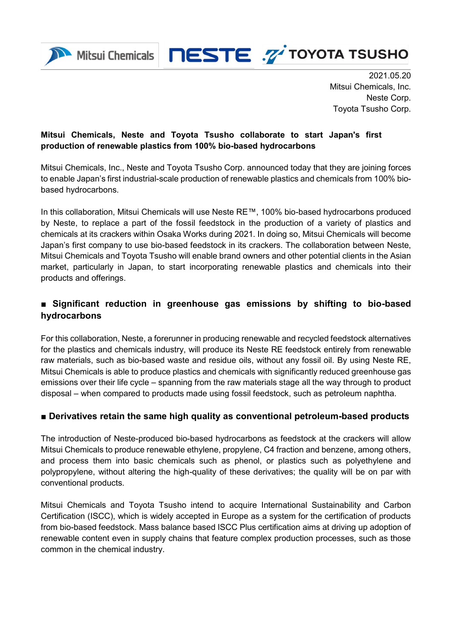



 2021.05.20 Mitsui Chemicals, Inc. Neste Corp. Toyota Tsusho Corp.

## **Mitsui Chemicals, Neste and Toyota Tsusho collaborate to start Japan's first production of renewable plastics from 100% bio-based hydrocarbons**

Mitsui Chemicals, Inc., Neste and Toyota Tsusho Corp. announced today that they are joining forces to enable Japan's first industrial-scale production of renewable plastics and chemicals from 100% biobased hydrocarbons.

In this collaboration, Mitsui Chemicals will use Neste RE™, 100% bio-based hydrocarbons produced by Neste, to replace a part of the fossil feedstock in the production of a variety of plastics and chemicals at its crackers within Osaka Works during 2021. In doing so, Mitsui Chemicals will become Japan's first company to use bio-based feedstock in its crackers. The collaboration between Neste, Mitsui Chemicals and Toyota Tsusho will enable brand owners and other potential clients in the Asian market, particularly in Japan, to start incorporating renewable plastics and chemicals into their products and offerings.

# **■ Significant reduction in greenhouse gas emissions by shifting to bio-based hydrocarbons**

For this collaboration, Neste, a forerunner in producing renewable and recycled feedstock alternatives for the plastics and chemicals industry, will produce its Neste RE feedstock entirely from renewable raw materials, such as bio-based waste and residue oils, without any fossil oil. By using Neste RE, Mitsui Chemicals is able to produce plastics and chemicals with significantly reduced greenhouse gas emissions over their life cycle – spanning from the raw materials stage all the way through to product disposal – when compared to products made using fossil feedstock, such as petroleum naphtha.

## **■ Derivatives retain the same high quality as conventional petroleum-based products**

The introduction of Neste-produced bio-based hydrocarbons as feedstock at the crackers will allow Mitsui Chemicals to produce renewable ethylene, propylene, C4 fraction and benzene, among others, and process them into basic chemicals such as phenol, or plastics such as polyethylene and polypropylene, without altering the high-quality of these derivatives; the quality will be on par with conventional products.

Mitsui Chemicals and Toyota Tsusho intend to acquire International Sustainability and Carbon Certification (ISCC), which is widely accepted in Europe as a system for the certification of products from bio-based feedstock. Mass balance based ISCC Plus certification aims at driving up adoption of renewable content even in supply chains that feature complex production processes, such as those common in the chemical industry.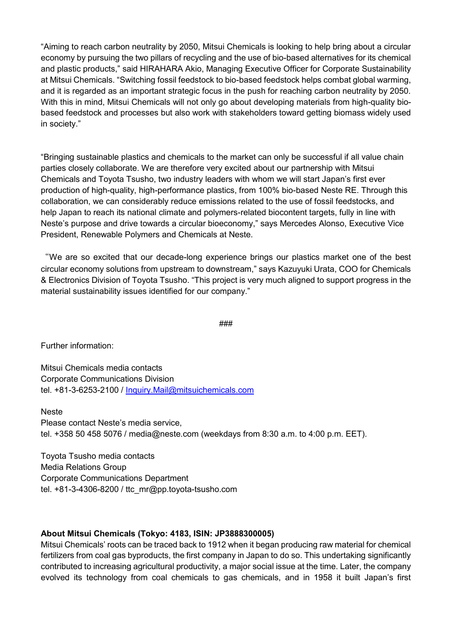"Aiming to reach carbon neutrality by 2050, Mitsui Chemicals is looking to help bring about a circular economy by pursuing the two pillars of recycling and the use of bio-based alternatives for its chemical and plastic products," said HIRAHARA Akio, Managing Executive Officer for Corporate Sustainability at Mitsui Chemicals. "Switching fossil feedstock to bio-based feedstock helps combat global warming, and it is regarded as an important strategic focus in the push for reaching carbon neutrality by 2050. With this in mind, Mitsui Chemicals will not only go about developing materials from high-quality biobased feedstock and processes but also work with stakeholders toward getting biomass widely used in society."

"Bringing sustainable plastics and chemicals to the market can only be successful if all value chain parties closely collaborate. We are therefore very excited about our partnership with Mitsui Chemicals and Toyota Tsusho, two industry leaders with whom we will start Japan's first ever production of high-quality, high-performance plastics, from 100% bio-based Neste RE. Through this collaboration, we can considerably reduce emissions related to the use of fossil feedstocks, and help Japan to reach its national climate and polymers-related biocontent targets, fully in line with Neste's purpose and drive towards a circular bioeconomy," says Mercedes Alonso, Executive Vice President, Renewable Polymers and Chemicals at Neste.

"We are so excited that our decade-long experience brings our plastics market one of the best circular economy solutions from upstream to downstream," says Kazuyuki Urata, COO for Chemicals & Electronics Division of Toyota Tsusho. "This project is very much aligned to support progress in the material sustainability issues identified for our company."

###

Further information:

Mitsui Chemicals media contacts Corporate Communications Division tel. +81-3-6253-2100 / [Inquiry.Mail@mitsuichemicals.com](mailto:Inquiry.Mail@mitsuichemicals.com)

Neste Please contact Neste's media service, tel. +358 50 458 5076 / [media@neste.com](mailto:media@neste.com) (weekdays from 8:30 a.m. to 4:00 p.m. EET).

Toyota Tsusho media contacts Media Relations Group Corporate Communications Department tel. +81-3-4306-8200 / ttc\_mr@pp.toyota-tsusho.com

### **About Mitsui Chemicals (Tokyo: 4183, ISIN: JP3888300005)**

Mitsui Chemicals' roots can be traced back to 1912 when it began producing raw material for chemical fertilizers from coal gas byproducts, the first company in Japan to do so. This undertaking significantly contributed to increasing agricultural productivity, a major social issue at the time. Later, the company evolved its technology from coal chemicals to gas chemicals, and in 1958 it built Japan's first